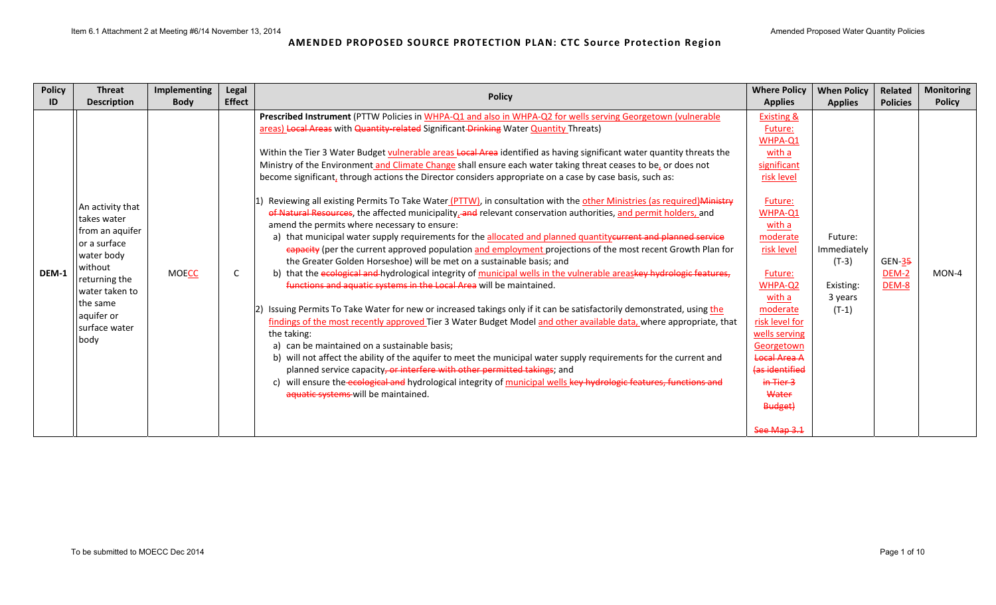| <b>Policy</b> | <b>Threat</b>                                                                                                                                                                      | Implementing | <b>Legal</b>  | <b>Policy</b>                                                                                                                                                                                                                                                                                                                                                                                                                                                                                                                                                                                                                                                                                                                                                                                                                                                                                                                                                                                                                                                                                                                                                                                                                                                                                                                                                                                                                                                                                                                                                                                                                                                                                                                                                                                                                                                                                                                                                                                                                                   | <b>Where Policy</b>                                                                                                                                                                                                                                                                                                   | <b>When Policy</b>                                                   | Related                    | <b>Monitoring</b> |
|---------------|------------------------------------------------------------------------------------------------------------------------------------------------------------------------------------|--------------|---------------|-------------------------------------------------------------------------------------------------------------------------------------------------------------------------------------------------------------------------------------------------------------------------------------------------------------------------------------------------------------------------------------------------------------------------------------------------------------------------------------------------------------------------------------------------------------------------------------------------------------------------------------------------------------------------------------------------------------------------------------------------------------------------------------------------------------------------------------------------------------------------------------------------------------------------------------------------------------------------------------------------------------------------------------------------------------------------------------------------------------------------------------------------------------------------------------------------------------------------------------------------------------------------------------------------------------------------------------------------------------------------------------------------------------------------------------------------------------------------------------------------------------------------------------------------------------------------------------------------------------------------------------------------------------------------------------------------------------------------------------------------------------------------------------------------------------------------------------------------------------------------------------------------------------------------------------------------------------------------------------------------------------------------------------------------|-----------------------------------------------------------------------------------------------------------------------------------------------------------------------------------------------------------------------------------------------------------------------------------------------------------------------|----------------------------------------------------------------------|----------------------------|-------------------|
| ID            | <b>Description</b>                                                                                                                                                                 | <b>Body</b>  | <b>Effect</b> |                                                                                                                                                                                                                                                                                                                                                                                                                                                                                                                                                                                                                                                                                                                                                                                                                                                                                                                                                                                                                                                                                                                                                                                                                                                                                                                                                                                                                                                                                                                                                                                                                                                                                                                                                                                                                                                                                                                                                                                                                                                 | <b>Applies</b>                                                                                                                                                                                                                                                                                                        | <b>Applies</b>                                                       | <b>Policies</b>            | <b>Policy</b>     |
| DEM-1         | An activity that<br>Itakes water<br>from an aquifer<br>or a surface<br>water body<br>without<br>returning the<br>water taken to<br>the same<br>aquifer or<br>surface water<br>body | <b>MOECC</b> | C             | Prescribed Instrument (PTTW Policies in WHPA-Q1 and also in WHPA-Q2 for wells serving Georgetown (vulnerable<br>areas) Local Areas with Quantity-related Significant Drinking Water Quantity Threats)<br>Within the Tier 3 Water Budget vulnerable areas Local Area identified as having significant water quantity threats the<br>Ministry of the Environment and Climate Change shall ensure each water taking threat ceases to be, or does not<br>become significant, through actions the Director considers appropriate on a case by case basis, such as:<br>Reviewing all existing Permits To Take Water (PTTW), in consultation with the other Ministries (as required) Ministry<br>of Natural Resources, the affected municipality, and relevant conservation authorities, and permit holders, and<br>amend the permits where necessary to ensure:<br>a) that municipal water supply requirements for the allocated and planned quantity eurrent and planned service<br>eapacity (per the current approved population and employment projections of the most recent Growth Plan for<br>the Greater Golden Horseshoe) will be met on a sustainable basis; and<br>b) that the ecological and hydrological integrity of municipal wells in the vulnerable areaskey hydrologic features,<br>functions and aquatic systems in the Local Area will be maintained.<br>Issuing Permits To Take Water for new or increased takings only if it can be satisfactorily demonstrated, using the<br>findings of the most recently approved Tier 3 Water Budget Model and other available data, where appropriate, that<br>the taking:<br>a) can be maintained on a sustainable basis;<br>b) will not affect the ability of the aquifer to meet the municipal water supply requirements for the current and<br>planned service capacity, or interfere with other permitted takings; and<br>will ensure the ecological and hydrological integrity of municipal wells key hydrologic features, functions and<br>c)<br>aquatic systems will be maintained. | <b>Existing &amp;</b><br>Future:<br>WHPA-Q1<br>with a<br>significant<br>risk level<br>Future:<br>WHPA-Q1<br>with a<br>moderate<br>risk level<br>Future:<br>WHPA-Q2<br>with a<br>moderate<br>risk level for<br>wells serving<br>Georgetown<br><b>Local Area A</b><br>(as identified<br>$in$ Tier 3<br>Water<br>Budget) | Future:<br>Immediately<br>$(T-3)$<br>Existing:<br>3 years<br>$(T-1)$ | $GEN-35$<br>DEM-2<br>DEM-8 | MON-4             |
|               |                                                                                                                                                                                    |              |               |                                                                                                                                                                                                                                                                                                                                                                                                                                                                                                                                                                                                                                                                                                                                                                                                                                                                                                                                                                                                                                                                                                                                                                                                                                                                                                                                                                                                                                                                                                                                                                                                                                                                                                                                                                                                                                                                                                                                                                                                                                                 | See Map 3.1                                                                                                                                                                                                                                                                                                           |                                                                      |                            |                   |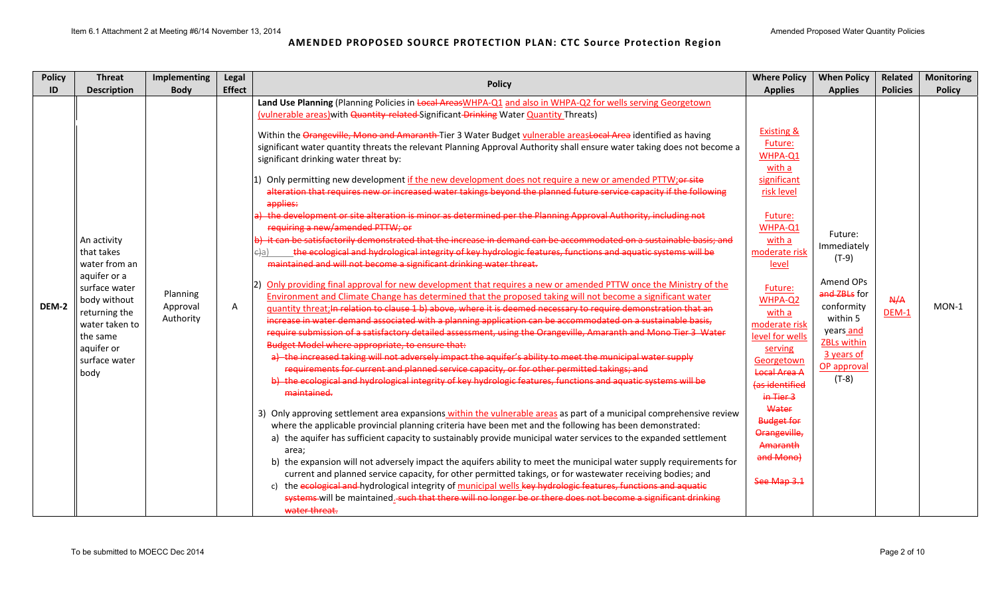| <b>Policy</b> | <b>Threat</b>                                                                                                                                                                     | Implementing                      | Legal         | <b>Policy</b>                                                                                                                                                                                                                                                                                                                                                                                                                                                                                                                                                                                                                                                                                                                                                                                                                                                                                                                                                                                                                                                                                                                                                                                                                                                                                                                                                                                                                                                                                                                                                                                                                                                                                                                                                                                                                                                                                                                                                                                                                                                                                                                                                                                                                                                                                                                                                                                                                                                                                                                                                                                                                                                                                                                                                                                                                                                                                                                                                                                                                                                         | <b>Where Policy</b>                                                                                                                                                                                                                                                                                                                                                            | <b>When Policy</b>                                                                                                                                                  | Related         | <b>Monitoring</b> |
|---------------|-----------------------------------------------------------------------------------------------------------------------------------------------------------------------------------|-----------------------------------|---------------|-----------------------------------------------------------------------------------------------------------------------------------------------------------------------------------------------------------------------------------------------------------------------------------------------------------------------------------------------------------------------------------------------------------------------------------------------------------------------------------------------------------------------------------------------------------------------------------------------------------------------------------------------------------------------------------------------------------------------------------------------------------------------------------------------------------------------------------------------------------------------------------------------------------------------------------------------------------------------------------------------------------------------------------------------------------------------------------------------------------------------------------------------------------------------------------------------------------------------------------------------------------------------------------------------------------------------------------------------------------------------------------------------------------------------------------------------------------------------------------------------------------------------------------------------------------------------------------------------------------------------------------------------------------------------------------------------------------------------------------------------------------------------------------------------------------------------------------------------------------------------------------------------------------------------------------------------------------------------------------------------------------------------------------------------------------------------------------------------------------------------------------------------------------------------------------------------------------------------------------------------------------------------------------------------------------------------------------------------------------------------------------------------------------------------------------------------------------------------------------------------------------------------------------------------------------------------------------------------------------------------------------------------------------------------------------------------------------------------------------------------------------------------------------------------------------------------------------------------------------------------------------------------------------------------------------------------------------------------------------------------------------------------------------------------------------------------|--------------------------------------------------------------------------------------------------------------------------------------------------------------------------------------------------------------------------------------------------------------------------------------------------------------------------------------------------------------------------------|---------------------------------------------------------------------------------------------------------------------------------------------------------------------|-----------------|-------------------|
| ID            | <b>Description</b>                                                                                                                                                                | <b>Body</b>                       | <b>Effect</b> |                                                                                                                                                                                                                                                                                                                                                                                                                                                                                                                                                                                                                                                                                                                                                                                                                                                                                                                                                                                                                                                                                                                                                                                                                                                                                                                                                                                                                                                                                                                                                                                                                                                                                                                                                                                                                                                                                                                                                                                                                                                                                                                                                                                                                                                                                                                                                                                                                                                                                                                                                                                                                                                                                                                                                                                                                                                                                                                                                                                                                                                                       | <b>Applies</b>                                                                                                                                                                                                                                                                                                                                                                 | <b>Applies</b>                                                                                                                                                      | <b>Policies</b> | <b>Policy</b>     |
| DEM-2         | An activity<br>that takes<br>water from an<br>aquifer or a<br>surface water<br>body without<br>returning the<br>water taken to<br>the same<br>aquifer or<br>surface water<br>body | Planning<br>Approval<br>Authority | A             | Land Use Planning (Planning Policies in Local AreasWHPA-Q1 and also in WHPA-Q2 for wells serving Georgetown<br>(vulnerable areas) with Quantity-related-Significant-Drinking Water Quantity Threats)<br>Within the Orangeville, Mono and Amaranth-Tier 3 Water Budget vulnerable areastocal Area identified as having<br>significant water quantity threats the relevant Planning Approval Authority shall ensure water taking does not become a<br>significant drinking water threat by:<br>1) Only permitting new development if the new development does not require a new or amended PTTW; or site<br>alteration that requires new or increased water takings beyond the planned future service capacity if the following<br>applies:<br>) the development or site alteration is minor as determined per the Planning Approval Authority, including not<br>requiring a new/amended PTTW; or<br>) it can be satisfactorily demonstrated that the increase in demand can be accommodated on a sustainable basis; and<br>the ecological and hydrological integrity of key hydrologic features, functions and aquatic systems will be<br>ela)<br>maintained and will not become a significant drinking water threat.<br>Only providing final approval for new development that requires a new or amended PTTW once the Ministry of the<br>Environment and Climate Change has determined that the proposed taking will not become a significant water<br>quantity threat; In relation to clause 1 b) above, where it is deemed necessary to require demonstration that an<br>increase in water demand associated with a planning application can be accommodated on a sustainable basis,<br>require submission of a satisfactory detailed assessment, using the Orangeville, Amaranth and Mono Tier 3 Water<br>Budget Model where appropriate, to ensure that:<br>a) the increased taking will not adversely impact the aquifer's ability to meet the municipal water supply<br>requirements for current and planned service capacity, or for other permitted takings; and<br>b) the ecological and hydrological integrity of key hydrologic features, functions and aquatic systems will be<br>maintained.<br>3) Only approving settlement area expansions within the vulnerable areas as part of a municipal comprehensive review<br>where the applicable provincial planning criteria have been met and the following has been demonstrated:<br>a) the aquifer has sufficient capacity to sustainably provide municipal water services to the expanded settlement<br>area;<br>b) the expansion will not adversely impact the aquifers ability to meet the municipal water supply requirements for<br>current and planned service capacity, for other permitted takings, or for wastewater receiving bodies; and<br>c) the ecological and hydrological integrity of municipal wells key hydrologic features, functions and aquatic<br>systems will be maintained. such that there will no longer be or there does not become a significant drinking<br>water threat. | <b>Existing &amp;</b><br>Future:<br>WHPA-Q1<br>with a<br>significant<br>risk level<br>Future:<br>WHPA-Q1<br>with a<br>moderate risk<br>level<br>Future:<br>WHPA-Q2<br>with a<br>moderate risk<br>level for wells<br>serving<br>Georgetown<br>Local Area A<br>(as identified<br>in Tier 3<br>Water<br><b>Budget for</b><br>Orangeville,<br>Amaranth<br>and Mono)<br>See Map 3.1 | Future:<br>Immediately<br>$(T-9)$<br>Amend OPs<br>and ZBLs for<br>conformity<br>within 5<br>years and<br><b>ZBLs within</b><br>3 years of<br>OP approval<br>$(T-8)$ | A/A<br>$DEM-1$  | MON-1             |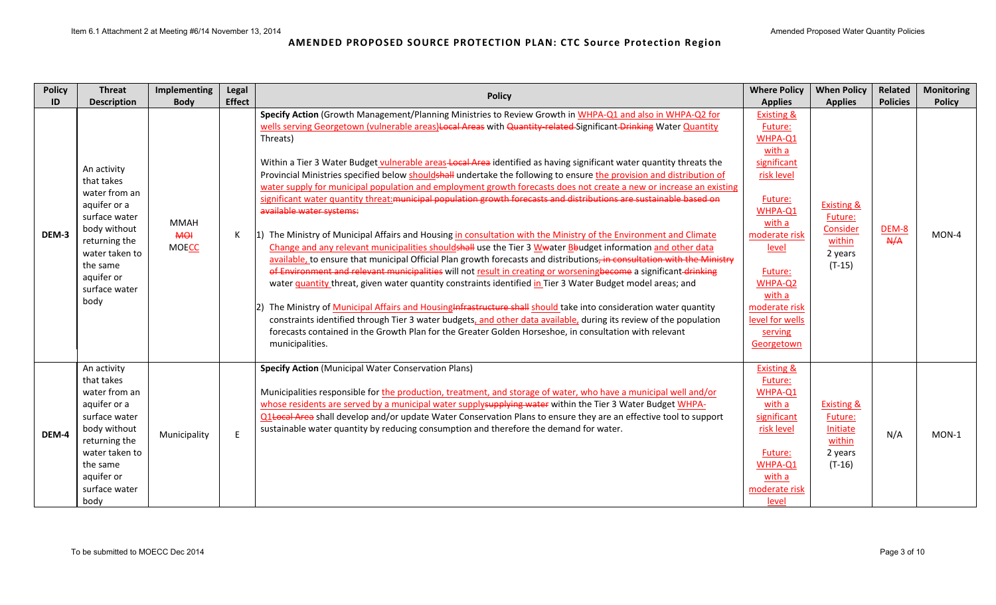| <b>Policy</b> | <b>Threat</b>                                                                                                                                                                     | Implementing                              | Legal         | <b>Policy</b>                                                                                                                                                                                                                                                                                                                                                                                                                                                                                                                                                                                                                                                                                                                                                                                                                                                                                                                                                                                                                                                                                                                                                                                                                                                                                                                                                                                                                                                                                                                                                                                                                                                                                                                                | <b>Where Policy</b>                                                                                                                                                                                                                       | <b>When Policy</b>                                                            | Related             | <b>Monitoring</b> |
|---------------|-----------------------------------------------------------------------------------------------------------------------------------------------------------------------------------|-------------------------------------------|---------------|----------------------------------------------------------------------------------------------------------------------------------------------------------------------------------------------------------------------------------------------------------------------------------------------------------------------------------------------------------------------------------------------------------------------------------------------------------------------------------------------------------------------------------------------------------------------------------------------------------------------------------------------------------------------------------------------------------------------------------------------------------------------------------------------------------------------------------------------------------------------------------------------------------------------------------------------------------------------------------------------------------------------------------------------------------------------------------------------------------------------------------------------------------------------------------------------------------------------------------------------------------------------------------------------------------------------------------------------------------------------------------------------------------------------------------------------------------------------------------------------------------------------------------------------------------------------------------------------------------------------------------------------------------------------------------------------------------------------------------------------|-------------------------------------------------------------------------------------------------------------------------------------------------------------------------------------------------------------------------------------------|-------------------------------------------------------------------------------|---------------------|-------------------|
| ID            | <b>Description</b>                                                                                                                                                                | <b>Body</b>                               | <b>Effect</b> |                                                                                                                                                                                                                                                                                                                                                                                                                                                                                                                                                                                                                                                                                                                                                                                                                                                                                                                                                                                                                                                                                                                                                                                                                                                                                                                                                                                                                                                                                                                                                                                                                                                                                                                                              | <b>Applies</b>                                                                                                                                                                                                                            | <b>Applies</b>                                                                | <b>Policies</b>     | <b>Policy</b>     |
| DEM-3         | An activity<br>that takes<br>water from an<br>aquifer or a<br>surface water<br>body without<br>returning the<br>water taken to<br>the same<br>aquifer or<br>surface water<br>body | <b>MMAH</b><br><b>MOI</b><br><b>MOECC</b> | К             | Specify Action (Growth Management/Planning Ministries to Review Growth in WHPA-Q1 and also in WHPA-Q2 for<br>wells serving Georgetown (vulnerable areas)Local Areas with Quantity related Significant Drinking Water Quantity<br>Threats)<br>Within a Tier 3 Water Budget vulnerable areas-Local Area identified as having significant water quantity threats the<br>Provincial Ministries specified below shouldshall undertake the following to ensure the provision and distribution of<br>water supply for municipal population and employment growth forecasts does not create a new or increase an existing<br>significant water quantity threat: municipal population growth forecasts and distributions are sustainable based on<br>available water systems:<br>1) The Ministry of Municipal Affairs and Housing in consultation with the Ministry of the Environment and Climate<br>Change and any relevant municipalities shouldshall use the Tier 3 Wwater Bbudget information and other data<br>available, to ensure that municipal Official Plan growth forecasts and distributions, in consultation with the Ministry<br>of Environment and relevant municipalities will not result in creating or worseningbecome a significant drinking<br>water quantity threat, given water quantity constraints identified in Tier 3 Water Budget model areas; and<br>The Ministry of Municipal Affairs and Housing Infrastructure shall should take into consideration water quantity<br>constraints identified through Tier 3 water budgets, and other data available, during its review of the population<br>forecasts contained in the Growth Plan for the Greater Golden Horseshoe, in consultation with relevant<br>municipalities. | <b>Existing &amp;</b><br>Future:<br>WHPA-Q1<br>with a<br>significant<br>risk level<br>Future:<br>WHPA-Q1<br>with a<br>moderate risk<br>level<br>Future:<br>WHPA-Q2<br>with a<br>moderate risk<br>level for wells<br>serving<br>Georgetown | <b>Existing &amp;</b><br>Future:<br>Consider<br>within<br>2 years<br>$(T-15)$ | <b>DEM-8</b><br>A/A | MON-4             |
| DEM-4         | An activity<br>that takes<br>water from an<br>aquifer or a<br>surface water<br>body without<br>returning the<br>water taken to<br>the same<br>aquifer or<br>surface water<br>body | Municipality                              | E             | <b>Specify Action (Municipal Water Conservation Plans)</b><br>Municipalities responsible for the production, treatment, and storage of water, who have a municipal well and/or<br>whose residents are served by a municipal water supply-supplying water within the Tier 3 Water Budget WHPA-<br>Q1 Local Area shall develop and/or update Water Conservation Plans to ensure they are an effective tool to support<br>sustainable water quantity by reducing consumption and therefore the demand for water.                                                                                                                                                                                                                                                                                                                                                                                                                                                                                                                                                                                                                                                                                                                                                                                                                                                                                                                                                                                                                                                                                                                                                                                                                                | <b>Existing &amp;</b><br>Future:<br>WHPA-Q1<br>with a<br>significant<br>risk level<br>Future:<br>WHPA-Q1<br>with a<br>moderate risk<br>level                                                                                              | <b>Existing &amp;</b><br>Future:<br>Initiate<br>within<br>2 years<br>$(T-16)$ | N/A                 | MON-1             |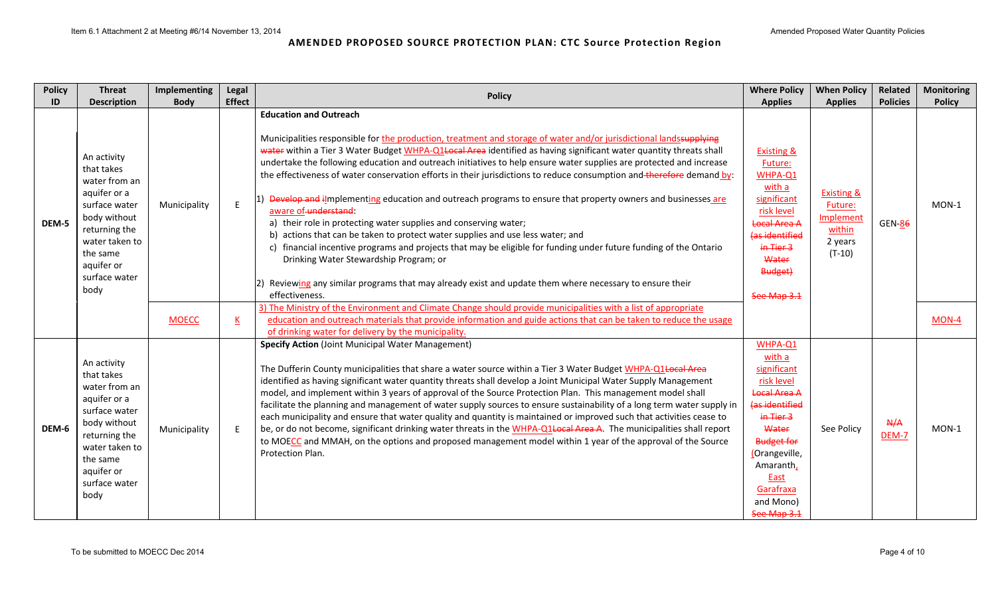| <b>Policy</b> | <b>Threat</b>                                                                                                                                                                     | Implementing | Legal                    | <b>Policy</b>                                                                                                                                                                                                                                                                                                                                                                                                                                                                                                                                                                                                                                                                                                                                                                                                                                                                                                                                                                                                                                                                                                       | <b>Where Policy</b>                                                                                                                                                                                               | <b>When Policy</b>                                                                    | Related         | <b>Monitoring</b> |
|---------------|-----------------------------------------------------------------------------------------------------------------------------------------------------------------------------------|--------------|--------------------------|---------------------------------------------------------------------------------------------------------------------------------------------------------------------------------------------------------------------------------------------------------------------------------------------------------------------------------------------------------------------------------------------------------------------------------------------------------------------------------------------------------------------------------------------------------------------------------------------------------------------------------------------------------------------------------------------------------------------------------------------------------------------------------------------------------------------------------------------------------------------------------------------------------------------------------------------------------------------------------------------------------------------------------------------------------------------------------------------------------------------|-------------------------------------------------------------------------------------------------------------------------------------------------------------------------------------------------------------------|---------------------------------------------------------------------------------------|-----------------|-------------------|
| ID            | <b>Description</b>                                                                                                                                                                | <b>Body</b>  | <b>Effect</b>            |                                                                                                                                                                                                                                                                                                                                                                                                                                                                                                                                                                                                                                                                                                                                                                                                                                                                                                                                                                                                                                                                                                                     | <b>Applies</b>                                                                                                                                                                                                    | <b>Applies</b>                                                                        | <b>Policies</b> | <b>Policy</b>     |
| DEM-5         | An activity<br>that takes<br>water from an<br>aquifer or a<br>surface water<br>body without<br>returning the<br>water taken to<br>the same<br>aquifer or<br>surface water<br>body | Municipality | E                        | <b>Education and Outreach</b><br>Municipalities responsible for the production, treatment and storage of water and/or jurisdictional landssupplying<br>water within a Tier 3 Water Budget WHPA-Q1+ocal Area identified as having significant water quantity threats shall<br>undertake the following education and outreach initiatives to help ensure water supplies are protected and increase<br>the effectiveness of water conservation efforts in their jurisdictions to reduce consumption and therefore demand by:<br>Develop and ilmplementing education and outreach programs to ensure that property owners and businesses are<br>aware of understand:<br>a) their role in protecting water supplies and conserving water;<br>b) actions that can be taken to protect water supplies and use less water; and<br>c) financial incentive programs and projects that may be eligible for funding under future funding of the Ontario<br>Drinking Water Stewardship Program; or<br>2) Reviewing any similar programs that may already exist and update them where necessary to ensure their<br>effectiveness. | <b>Existing &amp;</b><br>Future:<br>WHPA-Q1<br>with a<br>significant<br>risk level<br><b>Local Area A</b><br>(as identified<br>in Tier 3<br>Water<br>Budget)<br>See Map 3.1                                       | <b>Existing &amp;</b><br>Future:<br><b>Implement</b><br>within<br>2 years<br>$(T-10)$ | <b>GEN-86</b>   | $MON-1$           |
|               |                                                                                                                                                                                   | <b>MOECC</b> | $\underline{\mathsf{K}}$ | 3) The Ministry of the Environment and Climate Change should provide municipalities with a list of appropriate<br>education and outreach materials that provide information and guide actions that can be taken to reduce the usage<br>of drinking water for delivery by the municipality.                                                                                                                                                                                                                                                                                                                                                                                                                                                                                                                                                                                                                                                                                                                                                                                                                          |                                                                                                                                                                                                                   |                                                                                       |                 | MON-4             |
| DEM-6         | An activity<br>that takes<br>water from an<br>aquifer or a<br>surface water<br>body without<br>returning the<br>water taken to<br>the same<br>aquifer or<br>surface water<br>body | Municipality | E                        | <b>Specify Action (Joint Municipal Water Management)</b><br>The Dufferin County municipalities that share a water source within a Tier 3 Water Budget WHPA-Q1Local Area<br>identified as having significant water quantity threats shall develop a Joint Municipal Water Supply Management<br>model, and implement within 3 years of approval of the Source Protection Plan. This management model shall<br>facilitate the planning and management of water supply sources to ensure sustainability of a long term water supply in<br>each municipality and ensure that water quality and quantity is maintained or improved such that activities cease to<br>be, or do not become, significant drinking water threats in the WHPA-Q1Local Area A. The municipalities shall report<br>to MOECC and MMAH, on the options and proposed management model within 1 year of the approval of the Source<br>Protection Plan.                                                                                                                                                                                               | WHPA-Q1<br>with a<br>significant<br>risk level<br><b>Local Area A</b><br>(as identified<br>in Tier 3<br>Water<br><b>Budget for</b><br>(Orangeville,<br>Amaranth,<br>East<br>Garafraxa<br>and Mono)<br>See Map 3.1 | See Policy                                                                            | A/A<br>DEM-7    | $MON-1$           |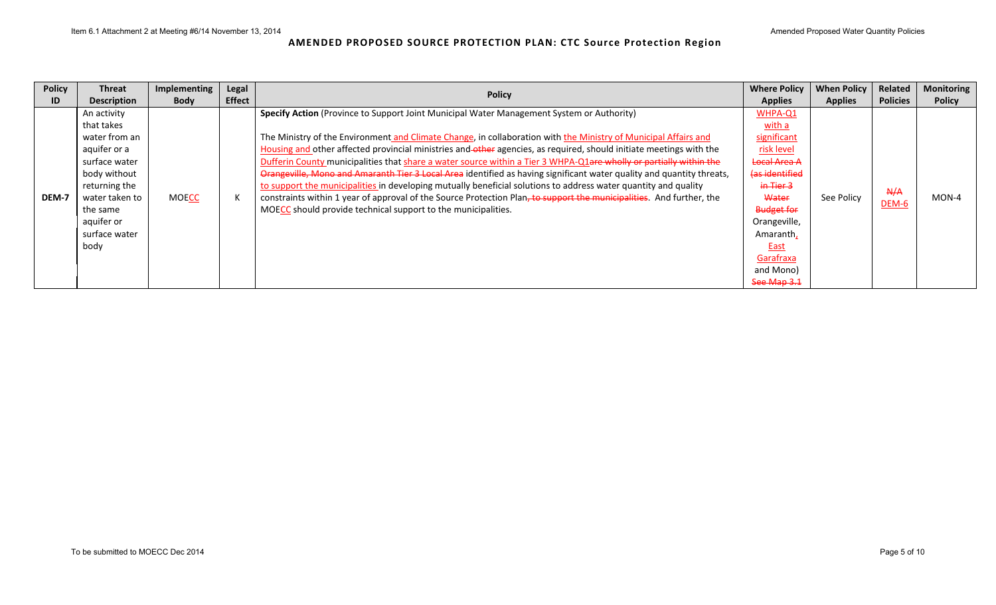| <b>Policy</b> | <b>Threat</b>                                                                                                                                                                     | <b>Implementing</b> | Legal         | <b>Policy</b>                                                                                                                                                                                                                                                                                                                                                                                                                                                                                                                                                                                                                                                                                                                                                                                                                                                                                  | <b>Where Policy</b>                                                                                                                                                                                              | <b>When Policy</b> | Related             | <b>Monitoring</b> |
|---------------|-----------------------------------------------------------------------------------------------------------------------------------------------------------------------------------|---------------------|---------------|------------------------------------------------------------------------------------------------------------------------------------------------------------------------------------------------------------------------------------------------------------------------------------------------------------------------------------------------------------------------------------------------------------------------------------------------------------------------------------------------------------------------------------------------------------------------------------------------------------------------------------------------------------------------------------------------------------------------------------------------------------------------------------------------------------------------------------------------------------------------------------------------|------------------------------------------------------------------------------------------------------------------------------------------------------------------------------------------------------------------|--------------------|---------------------|-------------------|
| ID            | <b>Description</b>                                                                                                                                                                | <b>Body</b>         | <b>Effect</b> |                                                                                                                                                                                                                                                                                                                                                                                                                                                                                                                                                                                                                                                                                                                                                                                                                                                                                                | <b>Applies</b>                                                                                                                                                                                                   | <b>Applies</b>     | <b>Policies</b>     | <b>Policy</b>     |
| DEM-7         | An activity<br>that takes<br>water from an<br>aquifer or a<br>surface water<br>body without<br>returning the<br>water taken to<br>the same<br>aquifer or<br>surface water<br>body | <b>MOECC</b>        | K             | Specify Action (Province to Support Joint Municipal Water Management System or Authority)<br>The Ministry of the Environment and Climate Change, in collaboration with the Ministry of Municipal Affairs and<br>Housing and other affected provincial ministries and other agencies, as required, should initiate meetings with the<br>Dufferin County municipalities that share a water source within a Tier 3 WHPA-Q1are wholly or partially within the<br>Orangeville, Mono and Amaranth Tier 3 Local Area identified as having significant water quality and quantity threats,<br>to support the municipalities in developing mutually beneficial solutions to address water quantity and quality<br>constraints within 1 year of approval of the Source Protection Plan, to support the municipalities. And further, the<br>MOECC should provide technical support to the municipalities. | WHPA-Q1<br>with a<br>significant<br>risk level<br><b>Local Area A</b><br>(as identified<br>in Tier 3<br>Water<br><b>Budget for</b><br>Orangeville,<br>Amaranth,<br>East<br>Garafraxa<br>and Mono)<br>See Map 3.1 | See Policy         | A/A<br><b>DEM-6</b> | $MON-4$           |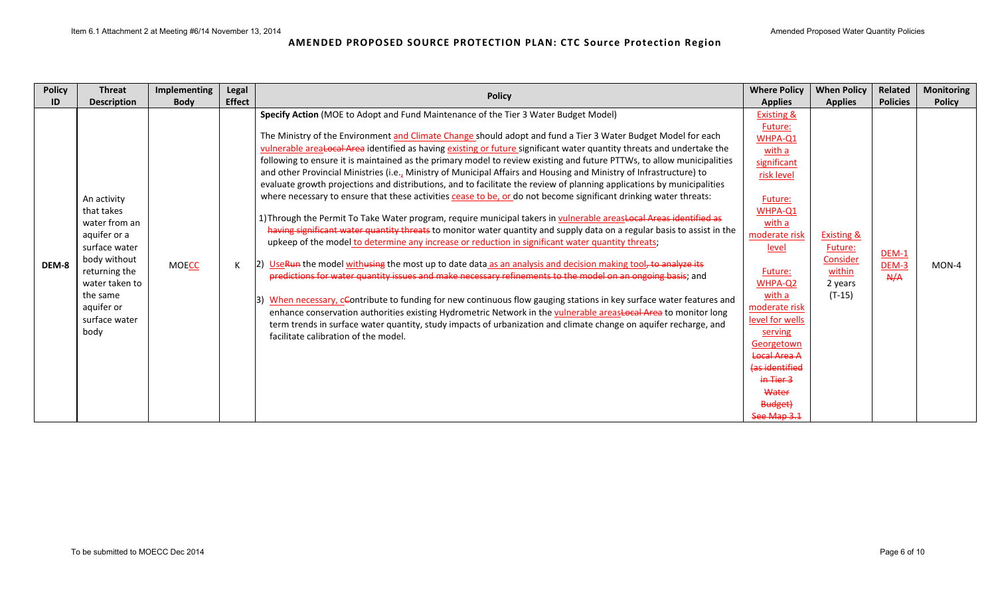| <b>Policy</b> | <b>Threat</b>                                                                                                                                                                     | <b>Implementing</b> | Legal         | <b>Policy</b>                                                                                                                                                                                                                                                                                                                                                                                                                                                                                                                                                                                                                                                                                                                                                                                                                                                                                                                                                                                                                                                                                                                                                                                                                                                                                                                                                                                                                                                                                                                                                                                                                                                                                                                                                                                                               | <b>Where Policy</b>                                                                                                                                                                                                                                                                                                                | <b>When Policy</b>                                                            | Related                        | <b>Monitoring</b> |
|---------------|-----------------------------------------------------------------------------------------------------------------------------------------------------------------------------------|---------------------|---------------|-----------------------------------------------------------------------------------------------------------------------------------------------------------------------------------------------------------------------------------------------------------------------------------------------------------------------------------------------------------------------------------------------------------------------------------------------------------------------------------------------------------------------------------------------------------------------------------------------------------------------------------------------------------------------------------------------------------------------------------------------------------------------------------------------------------------------------------------------------------------------------------------------------------------------------------------------------------------------------------------------------------------------------------------------------------------------------------------------------------------------------------------------------------------------------------------------------------------------------------------------------------------------------------------------------------------------------------------------------------------------------------------------------------------------------------------------------------------------------------------------------------------------------------------------------------------------------------------------------------------------------------------------------------------------------------------------------------------------------------------------------------------------------------------------------------------------------|------------------------------------------------------------------------------------------------------------------------------------------------------------------------------------------------------------------------------------------------------------------------------------------------------------------------------------|-------------------------------------------------------------------------------|--------------------------------|-------------------|
| ID            | <b>Description</b>                                                                                                                                                                | <b>Body</b>         | <b>Effect</b> |                                                                                                                                                                                                                                                                                                                                                                                                                                                                                                                                                                                                                                                                                                                                                                                                                                                                                                                                                                                                                                                                                                                                                                                                                                                                                                                                                                                                                                                                                                                                                                                                                                                                                                                                                                                                                             | <b>Applies</b>                                                                                                                                                                                                                                                                                                                     | <b>Applies</b>                                                                | <b>Policies</b>                | <b>Policy</b>     |
| DEM-8         | An activity<br>that takes<br>water from an<br>aquifer or a<br>surface water<br>body without<br>returning the<br>water taken to<br>the same<br>aquifer or<br>surface water<br>body | <b>MOECC</b>        | К             | Specify Action (MOE to Adopt and Fund Maintenance of the Tier 3 Water Budget Model)<br>The Ministry of the Environment and Climate Change should adopt and fund a Tier 3 Water Budget Model for each<br>vulnerable areaLocal Area identified as having existing or future significant water quantity threats and undertake the<br>following to ensure it is maintained as the primary model to review existing and future PTTWs, to allow municipalities<br>and other Provincial Ministries (i.e., Ministry of Municipal Affairs and Housing and Ministry of Infrastructure) to<br>evaluate growth projections and distributions, and to facilitate the review of planning applications by municipalities<br>where necessary to ensure that these activities cease to be, or do not become significant drinking water threats:<br>1) Through the Permit To Take Water program, require municipal takers in vulnerable areastocal Areas identified as<br>having significant water quantity threats to monitor water quantity and supply data on a regular basis to assist in the<br>upkeep of the model to determine any increase or reduction in significant water quantity threats;<br>2) UseRun the model withusing the most up to date data as an analysis and decision making tool, to analyze its<br>predictions for water quantity issues and make necessary refinements to the model on an ongoing basis; and<br>3) When necessary, ceontribute to funding for new continuous flow gauging stations in key surface water features and<br>enhance conservation authorities existing Hydrometric Network in the vulnerable areasLocal Area to monitor long<br>term trends in surface water quantity, study impacts of urbanization and climate change on aquifer recharge, and<br>facilitate calibration of the model. | <b>Existing &amp;</b><br>Future:<br>WHPA-Q1<br>with a<br>significant<br>risk level<br>Future:<br>WHPA-Q1<br>with a<br>moderate risk<br>level<br>Future:<br>WHPA-Q2<br>with a<br>moderate risk<br>level for wells<br>serving<br>Georgetown<br><b>Local Area A</b><br>(as identified<br>in Tier 3<br>Water<br>Budget)<br>See Map 3.1 | <b>Existing &amp;</b><br>Future:<br>Consider<br>within<br>2 years<br>$(T-15)$ | $DEM-1$<br><b>DEM-3</b><br>A/A | MON-4             |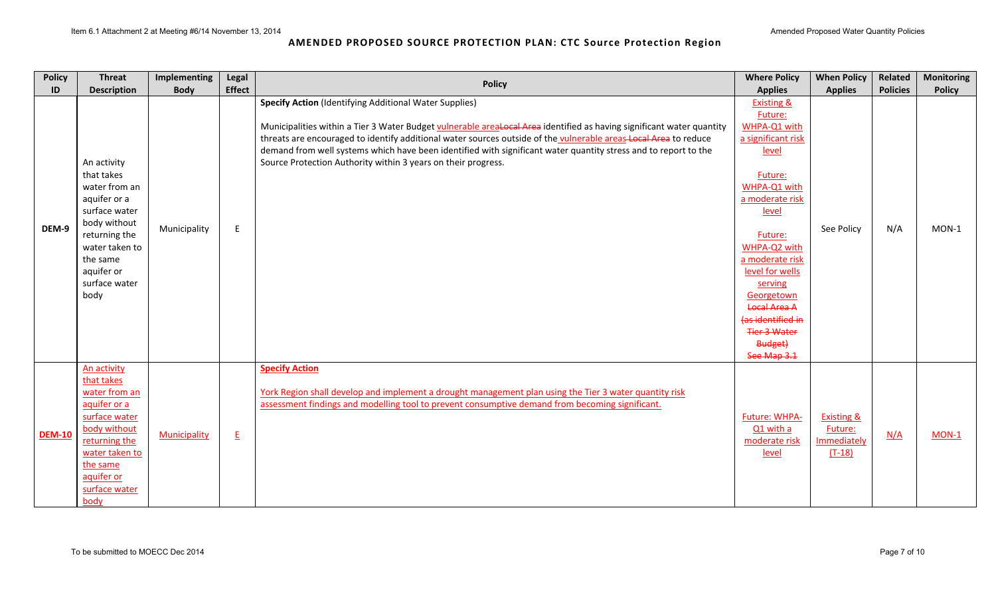| <b>Policy</b> | <b>Threat</b>                                                                                                                                                                     | Implementing | Legal                    | <b>Policy</b>                                                                                                                                                                                                                                                                                                                                                                                                                                                                                  | <b>Where Policy</b>                                                                                                                                                                                                                                                                                                           | <b>When Policy</b>                                          | Related         | <b>Monitoring</b> |
|---------------|-----------------------------------------------------------------------------------------------------------------------------------------------------------------------------------|--------------|--------------------------|------------------------------------------------------------------------------------------------------------------------------------------------------------------------------------------------------------------------------------------------------------------------------------------------------------------------------------------------------------------------------------------------------------------------------------------------------------------------------------------------|-------------------------------------------------------------------------------------------------------------------------------------------------------------------------------------------------------------------------------------------------------------------------------------------------------------------------------|-------------------------------------------------------------|-----------------|-------------------|
| ID            | <b>Description</b>                                                                                                                                                                | <b>Body</b>  | <b>Effect</b>            |                                                                                                                                                                                                                                                                                                                                                                                                                                                                                                | <b>Applies</b>                                                                                                                                                                                                                                                                                                                | <b>Applies</b>                                              | <b>Policies</b> | <b>Policy</b>     |
| DEM-9         | An activity<br>that takes<br>water from an<br>aquifer or a<br>surface water<br>body without<br>returning the<br>water taken to<br>the same<br>aquifer or<br>surface water<br>body | Municipality | E                        | <b>Specify Action (Identifying Additional Water Supplies)</b><br>Municipalities within a Tier 3 Water Budget vulnerable arealocal Area identified as having significant water quantity<br>threats are encouraged to identify additional water sources outside of the vulnerable areas Local Area to reduce<br>demand from well systems which have been identified with significant water quantity stress and to report to the<br>Source Protection Authority within 3 years on their progress. | <b>Existing &amp;</b><br>Future:<br>WHPA-Q1 with<br>a significant risk<br>level<br>Future:<br>WHPA-Q1 with<br>a moderate risk<br>level<br>Future:<br>WHPA-Q2 with<br>a moderate risk<br>level for wells<br>serving<br>Georgetown<br><b>Local Area A</b><br>las identified in<br><b>Tier 3 Water</b><br>Budget)<br>See Map 3.1 | See Policy                                                  | N/A             | $MON-1$           |
| <b>DEM-10</b> | An activity<br>that takes<br>water from an<br>aquifer or a<br>surface water<br>body without<br>returning the<br>water taken to<br>the same<br>aquifer or<br>surface water<br>body | Municipality | $\underline{\mathsf{E}}$ | <b>Specify Action</b><br>York Region shall develop and implement a drought management plan using the Tier 3 water quantity risk<br>assessment findings and modelling tool to prevent consumptive demand from becoming significant.                                                                                                                                                                                                                                                             | Future: WHPA-<br>Q1 with a<br>moderate risk<br>level                                                                                                                                                                                                                                                                          | <b>Existing &amp;</b><br>Future:<br>Immediately<br>$(T-18)$ | N/A             | MON-1             |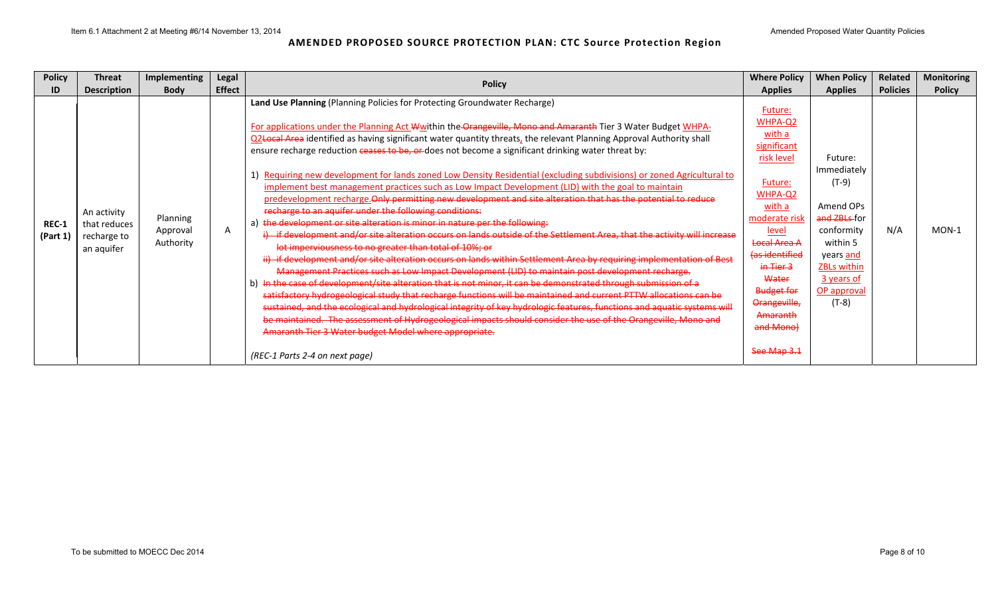| <b>Policy</b>     | <b>Threat</b>                                            | Implementing                      | Legal         | <b>Policy</b>                                                                                                                                                                                                                                                                                                                                                                                                                                                                                                                                                                                                                                                                                                                                                                                                                                                                                                                                                                                                                                                                                                                                                                                                                                                                                                                                                                                                                                                                                                                                                                                                                                                                                                                                                                                                     | <b>Where Policy</b>                                                                                                                                                                                                                              | <b>When Policy</b>                                                                                                                                                  | <b>Related</b>  | <b>Monitoring</b> |
|-------------------|----------------------------------------------------------|-----------------------------------|---------------|-------------------------------------------------------------------------------------------------------------------------------------------------------------------------------------------------------------------------------------------------------------------------------------------------------------------------------------------------------------------------------------------------------------------------------------------------------------------------------------------------------------------------------------------------------------------------------------------------------------------------------------------------------------------------------------------------------------------------------------------------------------------------------------------------------------------------------------------------------------------------------------------------------------------------------------------------------------------------------------------------------------------------------------------------------------------------------------------------------------------------------------------------------------------------------------------------------------------------------------------------------------------------------------------------------------------------------------------------------------------------------------------------------------------------------------------------------------------------------------------------------------------------------------------------------------------------------------------------------------------------------------------------------------------------------------------------------------------------------------------------------------------------------------------------------------------|--------------------------------------------------------------------------------------------------------------------------------------------------------------------------------------------------------------------------------------------------|---------------------------------------------------------------------------------------------------------------------------------------------------------------------|-----------------|-------------------|
| ID                | <b>Description</b>                                       | <b>Body</b>                       | <b>Effect</b> |                                                                                                                                                                                                                                                                                                                                                                                                                                                                                                                                                                                                                                                                                                                                                                                                                                                                                                                                                                                                                                                                                                                                                                                                                                                                                                                                                                                                                                                                                                                                                                                                                                                                                                                                                                                                                   | <b>Applies</b>                                                                                                                                                                                                                                   | <b>Applies</b>                                                                                                                                                      | <b>Policies</b> | <b>Policy</b>     |
| REC-1<br>(Part 1) | An activity<br>that reduces<br>recharge to<br>an aquifer | Planning<br>Approval<br>Authority | A             | Land Use Planning (Planning Policies for Protecting Groundwater Recharge)<br>For applications under the Planning Act Wwithin the Orangeville, Mono and Amaranth Tier 3 Water Budget WHPA-<br>Q2Local Area identified as having significant water quantity threats, the relevant Planning Approval Authority shall<br>ensure recharge reduction ceases to be, or does not become a significant drinking water threat by:<br>1) Requiring new development for lands zoned Low Density Residential (excluding subdivisions) or zoned Agricultural to<br>implement best management practices such as Low Impact Development (LID) with the goal to maintain<br>predevelopment recharge. Only permitting new development and site alteration that has the potential to reduce<br>recharge to an aquifer under the following conditions:<br>the development or site alteration is minor in nature per the following:<br>if development and/or site alteration occurs on lands outside of the Settlement Area, that the activity will increase<br>lot imperviousness to no greater than total of 10%; or<br>ii) if development and/or site alteration occurs on lands within Settlement Area by requiring implementation of Best<br>Management Practices such as Low Impact Development (LID) to maintain post development recharge.<br>b) In the case of development/site alteration that is not minor, it can be demonstrated through submission of a<br>satisfactory hydrogeological study that recharge functions will be maintained and current PTTW allocations can be<br>sustained, and the ecological and hydrological integrity of key hydrologic features, functions and aquatic systems will<br>be maintained. The assessment of Hydrogeological impacts should consider the use of the Orangeville, Mono and | Future:<br>WHPA-Q2<br>with a<br>significant<br>risk level<br>Future:<br>WHPA-Q2<br>with a<br>moderate risk<br>level<br>Local Area A<br><b>(as identified</b><br>in Tier 3<br>Water<br><b>Budget for</b><br>Orangeville,<br>Amaranth<br>and Mono) | Future:<br>Immediately<br>$(T-9)$<br>Amend OPs<br>and ZBLs-for<br>conformity<br>within 5<br>years and<br><b>ZBLs within</b><br>3 years of<br>OP approval<br>$(T-8)$ | N/A             | $MON-1$           |
|                   |                                                          |                                   |               | Amaranth Tier 3 Water budget Model where appropriate.<br>(REC-1 Parts 2-4 on next page)                                                                                                                                                                                                                                                                                                                                                                                                                                                                                                                                                                                                                                                                                                                                                                                                                                                                                                                                                                                                                                                                                                                                                                                                                                                                                                                                                                                                                                                                                                                                                                                                                                                                                                                           | See Map 3.1                                                                                                                                                                                                                                      |                                                                                                                                                                     |                 |                   |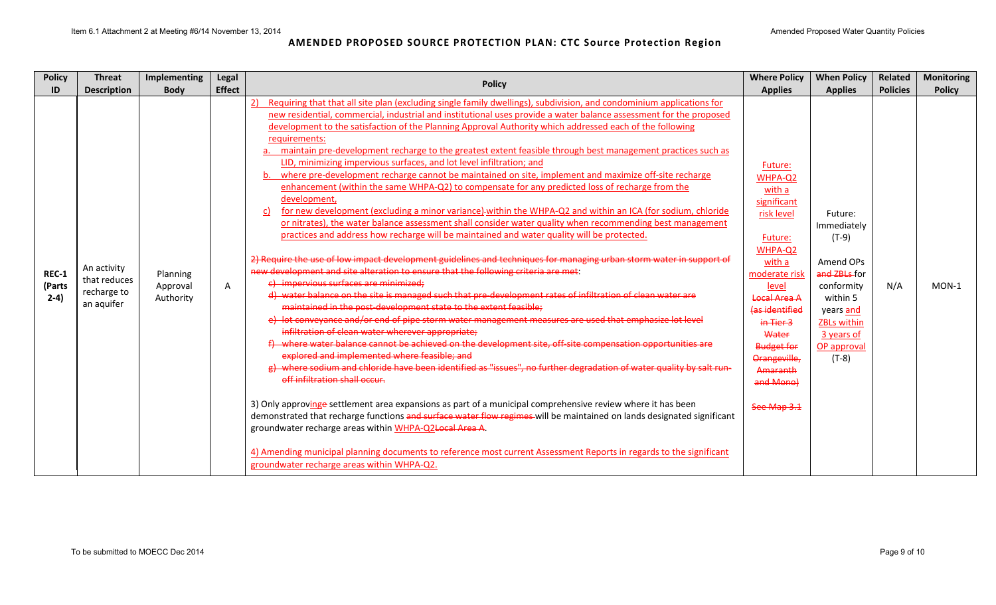| <b>Policy</b>                    | <b>Threat</b>                                            | Implementing                      | Legal         | <b>Policy</b>                                                                                                                                                                                                                                                                                                                                                                                                                                                                                                                                                                                                                                                                                                                                                                                                                                                                                                                                                                                                                                                                                                                                                                                                                                                                                                                                                                                                                                                                                                                                                                                                                                                                                                                                                                                                                                                                                                                                                                                                                                                                                                                                                                                                                                                                                                                                                                                                                                                                                                                         | <b>Where Policy</b>                                                                                                                                                                                                                                      | <b>When Policy</b>                                                                                                                                                  | Related         | <b>Monitoring</b> |
|----------------------------------|----------------------------------------------------------|-----------------------------------|---------------|---------------------------------------------------------------------------------------------------------------------------------------------------------------------------------------------------------------------------------------------------------------------------------------------------------------------------------------------------------------------------------------------------------------------------------------------------------------------------------------------------------------------------------------------------------------------------------------------------------------------------------------------------------------------------------------------------------------------------------------------------------------------------------------------------------------------------------------------------------------------------------------------------------------------------------------------------------------------------------------------------------------------------------------------------------------------------------------------------------------------------------------------------------------------------------------------------------------------------------------------------------------------------------------------------------------------------------------------------------------------------------------------------------------------------------------------------------------------------------------------------------------------------------------------------------------------------------------------------------------------------------------------------------------------------------------------------------------------------------------------------------------------------------------------------------------------------------------------------------------------------------------------------------------------------------------------------------------------------------------------------------------------------------------------------------------------------------------------------------------------------------------------------------------------------------------------------------------------------------------------------------------------------------------------------------------------------------------------------------------------------------------------------------------------------------------------------------------------------------------------------------------------------------------|----------------------------------------------------------------------------------------------------------------------------------------------------------------------------------------------------------------------------------------------------------|---------------------------------------------------------------------------------------------------------------------------------------------------------------------|-----------------|-------------------|
| ID                               | <b>Description</b>                                       | <b>Body</b>                       | <b>Effect</b> |                                                                                                                                                                                                                                                                                                                                                                                                                                                                                                                                                                                                                                                                                                                                                                                                                                                                                                                                                                                                                                                                                                                                                                                                                                                                                                                                                                                                                                                                                                                                                                                                                                                                                                                                                                                                                                                                                                                                                                                                                                                                                                                                                                                                                                                                                                                                                                                                                                                                                                                                       | <b>Applies</b>                                                                                                                                                                                                                                           | <b>Applies</b>                                                                                                                                                      | <b>Policies</b> | <b>Policy</b>     |
| <b>REC-1</b><br>(Parts<br>$2-4)$ | An activity<br>that reduces<br>recharge to<br>an aquifer | Planning<br>Approval<br>Authority | A             | Requiring that that all site plan (excluding single family dwellings), subdivision, and condominium applications for<br>2)<br>new residential, commercial, industrial and institutional uses provide a water balance assessment for the proposed<br>development to the satisfaction of the Planning Approval Authority which addressed each of the following<br>requirements:<br>maintain pre-development recharge to the greatest extent feasible through best management practices such as<br>LID, minimizing impervious surfaces, and lot level infiltration; and<br>where pre-development recharge cannot be maintained on site, implement and maximize off-site recharge<br>enhancement (within the same WHPA-Q2) to compensate for any predicted loss of recharge from the<br>development,<br>for new development (excluding a minor variance)-within the WHPA-Q2 and within an ICA (for sodium, chloride<br>C)<br>or nitrates), the water balance assessment shall consider water quality when recommending best management<br>practices and address how recharge will be maintained and water quality will be protected.<br>2) Require the use of low impact development guidelines and techniques for managing urban storm water in support of<br>new development and site alteration to ensure that the following criteria are met:<br>e) impervious surfaces are minimized;<br>d) water balance on the site is managed such that pre-development rates of infiltration of clean water are<br>maintained in the post-development state to the extent feasible;<br>e) lot conveyance and/or end of pipe storm water management measures are used that emphasize lot level<br>infiltration of clean water wherever appropriate;<br>f) where water balance cannot be achieved on the development site, off-site compensation opportunities are<br>explored and implemented where feasible; and<br>g) where sodium and chloride have been identified as "issues", no further degradation of water quality by salt run-<br>off infiltration shall occur.<br>3) Only approvinge settlement area expansions as part of a municipal comprehensive review where it has been<br>demonstrated that recharge functions and surface water flow regimes will be maintained on lands designated significant<br>groundwater recharge areas within WHPA-Q2Local Area A.<br>4) Amending municipal planning documents to reference most current Assessment Reports in regards to the significant<br>groundwater recharge areas within WHPA-Q2. | Future:<br>WHPA-Q2<br>with a<br>significant<br>risk level<br>Future:<br>WHPA-Q2<br>with a<br>moderate risk<br>level<br>Local Area A<br>(as identified<br>in Tier 3<br>Water<br><b>Budget for</b><br>Orangeville,<br>Amaranth<br>and Mono)<br>See Map 3.1 | Future:<br>Immediately<br>$(T-9)$<br>Amend OPs<br>and ZBLs-for<br>conformity<br>within 5<br>years and<br><b>ZBLs within</b><br>3 years of<br>OP approval<br>$(T-8)$ | N/A             | $MON-1$           |